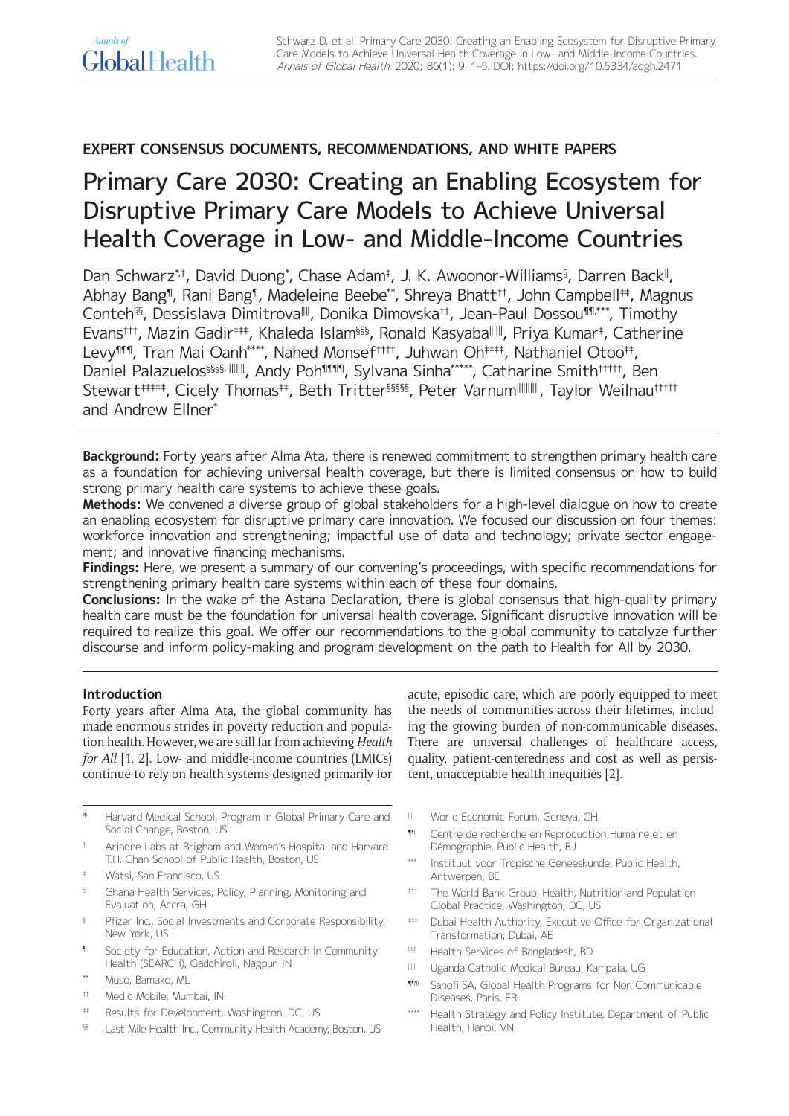# **EXPERT CONSENSUS DOCUMENTS, RECOMMENDATIONS, AND WHITE PAPERS**

# Primary Care 2030: Creating an Enabling Ecosystem for Disruptive Primary Care Models to Achieve Universal Health Coverage in Low- and Middle-Income Countries

Dan Schwarz\*t, David Duong\*, Chase Adam<sup>‡</sup>, J. K. Awoonor-Williams<sup>§</sup>, Darren Back<sup>∥</sup>, Abhay Bang¶, Rani Bang¶, Madeleine Beebe\*\*, Shreya Bhatt††, John Campbell‡‡, Magnus Conteh§§, Dessislava Dimitrova‖‖, Donika Dimovska‡‡, Jean-Paul Dossou¶¶,\*\*\*, Timothy Evans†††, Mazin Gadir‡‡‡, Khaleda Islam§§§, Ronald Kasyaba⊪⊪, Priya Kumar‡, Catherine Levy<sup>¶¶¶</sup>, Tran Mai Oanh<sup>\*\*\*\*</sup>, Nahed Monsef<sup>†††††</sup>, Juhwan Oh<sup>‡‡‡‡</sup>†, Nathaniel Otoo<sup>‡‡</sup>, Daniel Palazuelos§§§§§,||||||||, Andy Poh¶¶¶, Sylvana Sinha\*\*\*\*\*, Catharine Smith<sup>†††††</sup>, Ben Stewart<sup>####</sup>, Cicely Thomas<sup>##</sup>, Beth Tritter<sup>§§§§§</sup>, Peter Varnum<sup>|||||||||</sup>, Taylor Weilnau<sup>†††††</sup> and Andrew Ellner\*

**Background:** Forty years after Alma Ata, there is renewed commitment to strengthen primary health care as a foundation for achieving universal health coverage, but there is limited consensus on how to build strong primary health care systems to achieve these goals.

**Methods:** We convened a diverse group of global stakeholders for a high-level dialogue on how to create an enabling ecosystem for disruptive primary care innovation. We focused our discussion on four themes: workforce innovation and strengthening; impactful use of data and technology; private sector engagement; and innovative financing mechanisms.

**Findings:** Here, we present a summary of our convening's proceedings, with specific recommendations for strengthening primary health care systems within each of these four domains.

**Conclusions:** In the wake of the Astana Declaration, there is global consensus that high-quality primary health care must be the foundation for universal health coverage. Significant disruptive innovation will be required to realize this goal. We offer our recommendations to the global community to catalyze further discourse and inform policy-making and program development on the path to Health for All by 2030.

# **Introduction**

Forty years after Alma Ata, the global community has made enormous strides in poverty reduction and population health. However, we are still far from achieving *Health for All* [1, 2]. Low- and middle-income countries (LMICs) continue to rely on health systems designed primarily for

Harvard Medical School, Program in Global Primary Care and Social Change, Boston, US

- † Ariadne Labs at Brigham and Women's Hospital and Harvard T.H. Chan School of Public Health, Boston, US
- ‡ Watsi, San Francisco, US
- § Ghana Health Services, Policy, Planning, Monitoring and Evaluation, Accra, GH
- ‖ Pfizer Inc., Social Investments and Corporate Responsibility, New York, US
- ¶ Society for Education, Action and Research in Community Health (SEARCH), Gadchiroli, Nagpur, IN
- Muso, Bamako, ML
- †† Medic Mobile, Mumbai, IN
- ‡‡ Results for Development, Washington, DC, US
- §§ Last Mile Health Inc., Community Health Academy, Boston, US

acute, episodic care, which are poorly equipped to meet the needs of communities across their lifetimes, including the growing burden of non-communicable diseases. There are universal challenges of healthcare access, quality, patient-centeredness and cost as well as persistent, unacceptable health inequities [2].

- ‖‖ World Economic Forum, Geneva, CH
- ¶¶ Centre de recherche en Reproduction Humaine et en Démographie, Public Health, BJ
- Instituut voor Tropische Geneeskunde, Public Health, Antwerpen, BE
- ††† The World Bank Group, Health, Nutrition and Population Global Practice, Washington, DC, US
- ‡‡‡ Dubai Health Authority, Executive Office for Organizational Transformation, Dubai, AE
- §§§ Health Services of Bangladesh, BD
- ‖‖‖ Uganda Catholic Medical Bureau, Kampala, UG
- **1111** Sanofi SA, Global Health Programs for Non Communicable Diseases, Paris, FR
- \*\*\*\* Health Strategy and Policy Institute, Department of Public Health, Hanoi, VN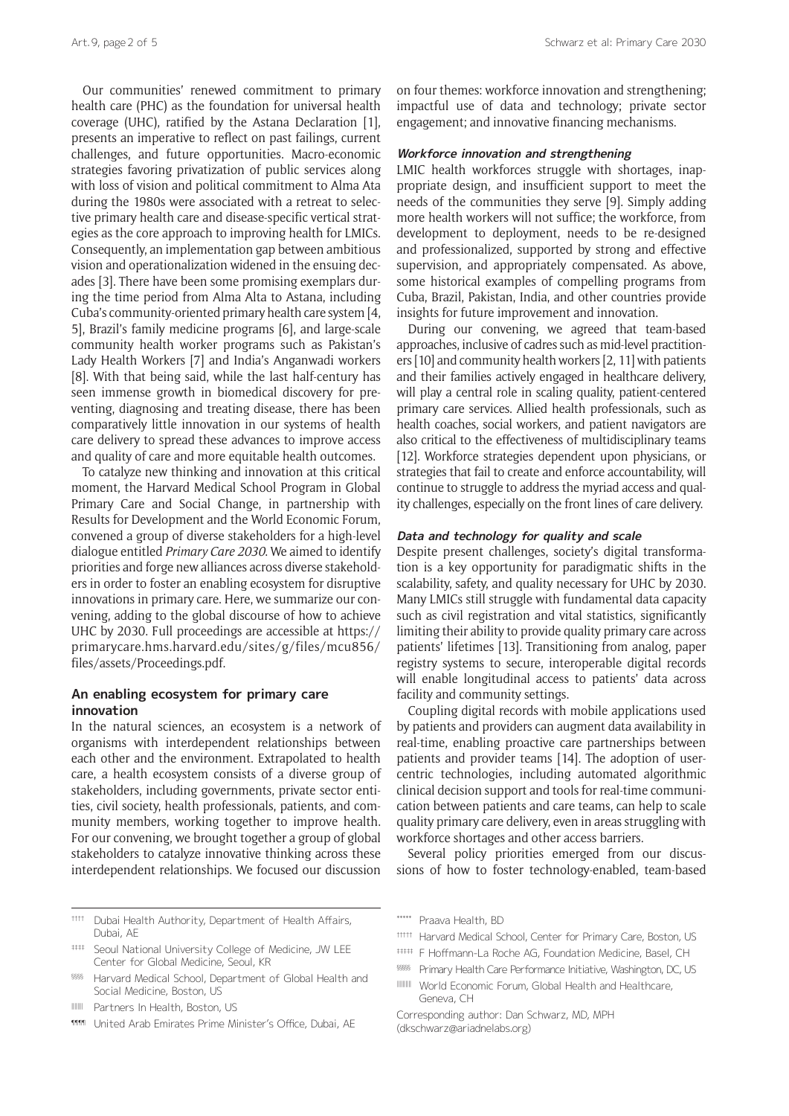Our communities' renewed commitment to primary health care (PHC) as the foundation for universal health coverage (UHC), ratified by the Astana Declaration [1], presents an imperative to reflect on past failings, current challenges, and future opportunities. Macro-economic strategies favoring privatization of public services along with loss of vision and political commitment to Alma Ata during the 1980s were associated with a retreat to selective primary health care and disease-specific vertical strategies as the core approach to improving health for LMICs. Consequently, an implementation gap between ambitious vision and operationalization widened in the ensuing decades [3]. There have been some promising exemplars during the time period from Alma Alta to Astana, including Cuba's community-oriented primary health care system [4, 5], Brazil's family medicine programs [6], and large-scale community health worker programs such as Pakistan's Lady Health Workers [7] and India's Anganwadi workers [8]. With that being said, while the last half-century has seen immense growth in biomedical discovery for preventing, diagnosing and treating disease, there has been comparatively little innovation in our systems of health care delivery to spread these advances to improve access and quality of care and more equitable health outcomes.

To catalyze new thinking and innovation at this critical moment, the Harvard Medical School Program in Global Primary Care and Social Change, in partnership with Results for Development and the World Economic Forum, convened a group of diverse stakeholders for a high-level dialogue entitled *Primary Care 2030*. We aimed to identify priorities and forge new alliances across diverse stakeholders in order to foster an enabling ecosystem for disruptive innovations in primary care. Here, we summarize our convening, adding to the global discourse of how to achieve UHC by 2030. Full proceedings are accessible at [https://](https://primarycare.hms.harvard.edu/sites/g/files/mcu856/files/assets/Proceedings.pdf) [primarycare.hms.harvard.edu/sites/g/files/mcu856/](https://primarycare.hms.harvard.edu/sites/g/files/mcu856/files/assets/Proceedings.pdf) [files/assets/Proceedings.pdf](https://primarycare.hms.harvard.edu/sites/g/files/mcu856/files/assets/Proceedings.pdf).

### **An enabling ecosystem for primary care innovation**

In the natural sciences, an ecosystem is a network of organisms with interdependent relationships between each other and the environment. Extrapolated to health care, a health ecosystem consists of a diverse group of stakeholders, including governments, private sector entities, civil society, health professionals, patients, and community members, working together to improve health. For our convening, we brought together a group of global stakeholders to catalyze innovative thinking across these interdependent relationships. We focused our discussion

- $# # #$  Seoul National University College of Medicine, JW LEE Center for Global Medicine, Seoul, KR
- §§§§§ Harvard Medical School, Department of Global Health and Social Medicine, Boston, US
- ‖‖‖‖ Partners In Health, Boston, US
- **11111** United Arab Emirates Prime Minister's Office, Dubai, AE

on four themes: workforce innovation and strengthening; impactful use of data and technology; private sector engagement; and innovative financing mechanisms.

# **Workforce innovation and strengthening**

LMIC health workforces struggle with shortages, inappropriate design, and insufficient support to meet the needs of the communities they serve [9]. Simply adding more health workers will not suffice; the workforce, from development to deployment, needs to be re-designed and professionalized, supported by strong and effective supervision, and appropriately compensated. As above, some historical examples of compelling programs from Cuba, Brazil, Pakistan, India, and other countries provide insights for future improvement and innovation.

During our convening, we agreed that team-based approaches, inclusive of cadres such as mid-level practitioners [10] and community health workers [2, 11] with patients and their families actively engaged in healthcare delivery, will play a central role in scaling quality, patient-centered primary care services. Allied health professionals, such as health coaches, social workers, and patient navigators are also critical to the effectiveness of multidisciplinary teams [12]. Workforce strategies dependent upon physicians, or strategies that fail to create and enforce accountability, will continue to struggle to address the myriad access and quality challenges, especially on the front lines of care delivery.

#### **Data and technology for quality and scale**

Despite present challenges, society's digital transformation is a key opportunity for paradigmatic shifts in the scalability, safety, and quality necessary for UHC by 2030. Many LMICs still struggle with fundamental data capacity such as civil registration and vital statistics, significantly limiting their ability to provide quality primary care across patients' lifetimes [13]. Transitioning from analog, paper registry systems to secure, interoperable digital records will enable longitudinal access to patients' data across facility and community settings.

Coupling digital records with mobile applications used by patients and providers can augment data availability in real-time, enabling proactive care partnerships between patients and provider teams [14]. The adoption of usercentric technologies, including automated algorithmic clinical decision support and tools for real-time communication between patients and care teams, can help to scale quality primary care delivery, even in areas struggling with workforce shortages and other access barriers.

Several policy priorities emerged from our discussions of how to foster technology-enabled, team-based

- ††††† Harvard Medical School, Center for Primary Care, Boston, US
- ‡‡‡‡‡ F Hoffmann-La Roche AG, Foundation Medicine, Basel, CH
- §§§§§ Primary Health Care Performance Initiative, Washington, DC, US
- ‖‖‖‖‖ World Economic Forum, Global Health and Healthcare, Geneva, CH
- Corresponding author: Dan Schwarz, MD, MPH [\(dkschwarz@ariadnelabs.org](mailto:dkschwarz@ariadnelabs.org))

<sup>††††</sup> Dubai Health Authority, Department of Health Affairs, Dubai, AE

<sup>\*\*\*\*\*</sup> Praava Health, BD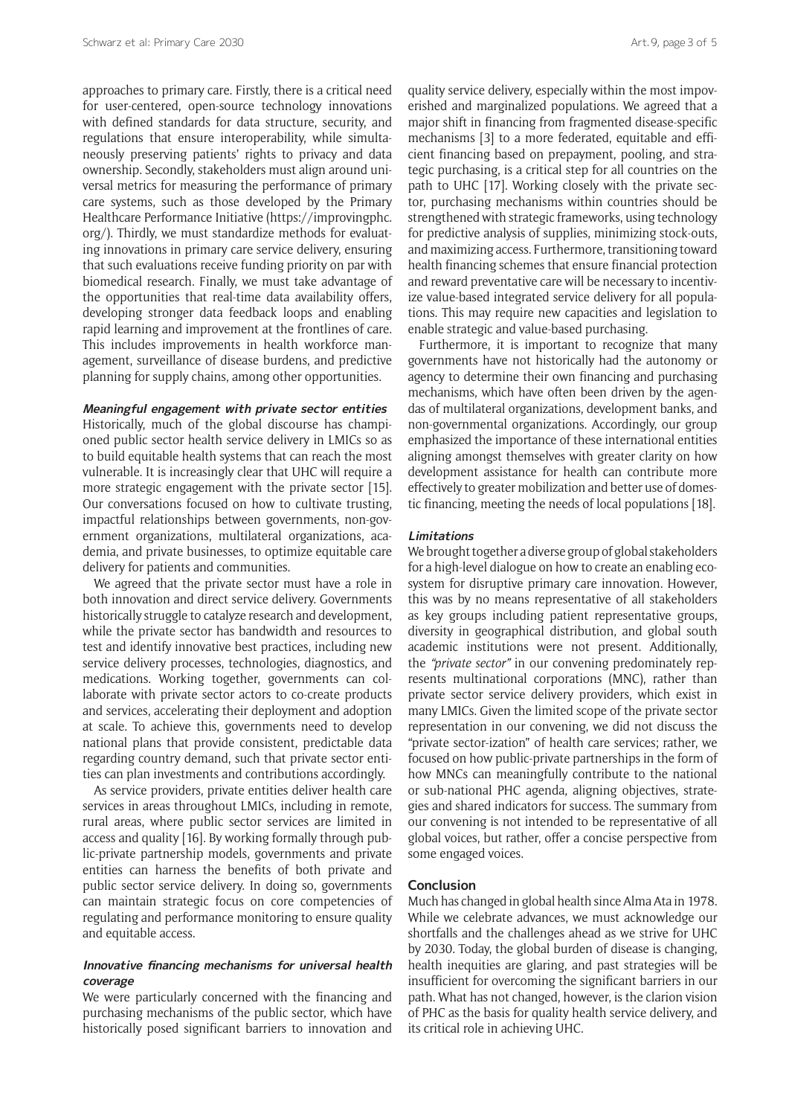approaches to primary care. Firstly, there is a critical need for user-centered, open-source technology innovations with defined standards for data structure, security, and regulations that ensure interoperability, while simultaneously preserving patients' rights to privacy and data ownership. Secondly, stakeholders must align around universal metrics for measuring the performance of primary care systems, such as those developed by the Primary Healthcare Performance Initiative ([https://improvingphc.](https://improvingphc.org/) [org/\)](https://improvingphc.org/). Thirdly, we must standardize methods for evaluating innovations in primary care service delivery, ensuring that such evaluations receive funding priority on par with biomedical research. Finally, we must take advantage of the opportunities that real-time data availability offers, developing stronger data feedback loops and enabling rapid learning and improvement at the frontlines of care. This includes improvements in health workforce management, surveillance of disease burdens, and predictive planning for supply chains, among other opportunities.

#### **Meaningful engagement with private sector entities**

Historically, much of the global discourse has championed public sector health service delivery in LMICs so as to build equitable health systems that can reach the most vulnerable. It is increasingly clear that UHC will require a more strategic engagement with the private sector [15]. Our conversations focused on how to cultivate trusting, impactful relationships between governments, non-government organizations, multilateral organizations, academia, and private businesses, to optimize equitable care delivery for patients and communities.

We agreed that the private sector must have a role in both innovation and direct service delivery. Governments historically struggle to catalyze research and development, while the private sector has bandwidth and resources to test and identify innovative best practices, including new service delivery processes, technologies, diagnostics, and medications. Working together, governments can collaborate with private sector actors to co-create products and services, accelerating their deployment and adoption at scale. To achieve this, governments need to develop national plans that provide consistent, predictable data regarding country demand, such that private sector entities can plan investments and contributions accordingly.

As service providers, private entities deliver health care services in areas throughout LMICs, including in remote, rural areas, where public sector services are limited in access and quality [16]. By working formally through public-private partnership models, governments and private entities can harness the benefits of both private and public sector service delivery. In doing so, governments can maintain strategic focus on core competencies of regulating and performance monitoring to ensure quality and equitable access.

#### **Innovative financing mechanisms for universal health coverage**

We were particularly concerned with the financing and purchasing mechanisms of the public sector, which have historically posed significant barriers to innovation and quality service delivery, especially within the most impoverished and marginalized populations. We agreed that a major shift in financing from fragmented disease-specific mechanisms [3] to a more federated, equitable and efficient financing based on prepayment, pooling, and strategic purchasing, is a critical step for all countries on the path to UHC [17]. Working closely with the private sector, purchasing mechanisms within countries should be strengthened with strategic frameworks, using technology for predictive analysis of supplies, minimizing stock-outs, and maximizing access. Furthermore, transitioning toward health financing schemes that ensure financial protection and reward preventative care will be necessary to incentivize value-based integrated service delivery for all populations. This may require new capacities and legislation to enable strategic and value-based purchasing.

Furthermore, it is important to recognize that many governments have not historically had the autonomy or agency to determine their own financing and purchasing mechanisms, which have often been driven by the agendas of multilateral organizations, development banks, and non-governmental organizations. Accordingly, our group emphasized the importance of these international entities aligning amongst themselves with greater clarity on how development assistance for health can contribute more effectively to greater mobilization and better use of domestic financing, meeting the needs of local populations [18].

#### **Limitations**

We brought together a diverse group of global stakeholders for a high-level dialogue on how to create an enabling ecosystem for disruptive primary care innovation. However, this was by no means representative of all stakeholders as key groups including patient representative groups, diversity in geographical distribution, and global south academic institutions were not present. Additionally, the *"private sector"* in our convening predominately represents multinational corporations (MNC), rather than private sector service delivery providers, which exist in many LMICs. Given the limited scope of the private sector representation in our convening, we did not discuss the "private sector-ization" of health care services; rather, we focused on how public-private partnerships in the form of how MNCs can meaningfully contribute to the national or sub-national PHC agenda, aligning objectives, strategies and shared indicators for success. The summary from our convening is not intended to be representative of all global voices, but rather, offer a concise perspective from some engaged voices.

#### **Conclusion**

Much has changed in global health since Alma Ata in 1978. While we celebrate advances, we must acknowledge our shortfalls and the challenges ahead as we strive for UHC by 2030. Today, the global burden of disease is changing, health inequities are glaring, and past strategies will be insufficient for overcoming the significant barriers in our path. What has not changed, however, is the clarion vision of PHC as the basis for quality health service delivery, and its critical role in achieving UHC.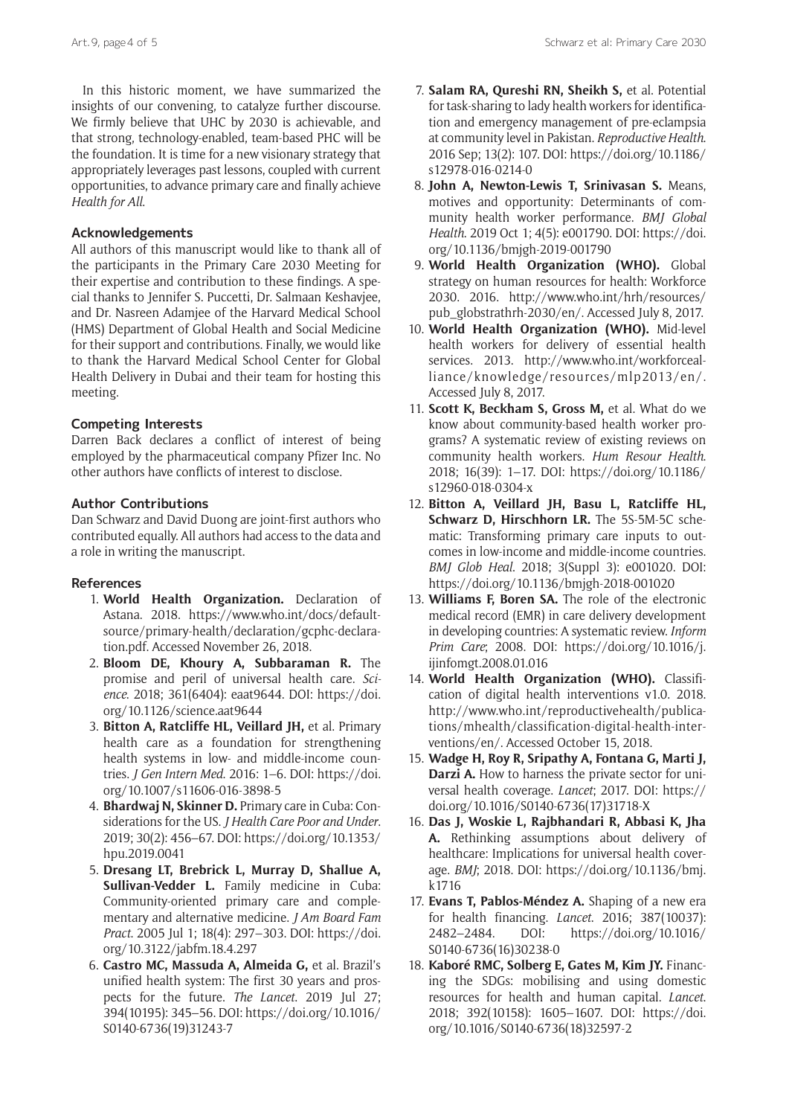In this historic moment, we have summarized the insights of our convening, to catalyze further discourse. We firmly believe that UHC by 2030 is achievable, and that strong, technology-enabled, team-based PHC will be the foundation. It is time for a new visionary strategy that appropriately leverages past lessons, coupled with current opportunities, to advance primary care and finally achieve *Health for All*.

#### **Acknowledgements**

All authors of this manuscript would like to thank all of the participants in the Primary Care 2030 Meeting for their expertise and contribution to these findings. A special thanks to Jennifer S. Puccetti, Dr. Salmaan Keshavjee, and Dr. Nasreen Adamjee of the Harvard Medical School (HMS) Department of Global Health and Social Medicine for their support and contributions. Finally, we would like to thank the Harvard Medical School Center for Global Health Delivery in Dubai and their team for hosting this meeting.

#### **Competing Interests**

Darren Back declares a conflict of interest of being employed by the pharmaceutical company Pfizer Inc. No other authors have conflicts of interest to disclose.

#### **Author Contributions**

Dan Schwarz and David Duong are joint-first authors who contributed equally. All authors had access to the data and a role in writing the manuscript.

#### **References**

- 1. **World Health Organization.** Declaration of Astana. 2018. [https://www.who.int/docs/default](https://www.who.int/docs/default-source/primary-health/declaration/gcphc-declaration.pdf)[source/primary-health/declaration/gcphc-declara](https://www.who.int/docs/default-source/primary-health/declaration/gcphc-declaration.pdf)[tion.pdf](https://www.who.int/docs/default-source/primary-health/declaration/gcphc-declaration.pdf). Accessed November 26, 2018.
- 2. **Bloom DE, Khoury A, Subbaraman R.** The promise and peril of universal health care. *Science*. 2018; 361(6404): eaat9644. DOI: [https://doi.](https://doi.org/10.1126/science.aat9644) [org/10.1126/science.aat9644](https://doi.org/10.1126/science.aat9644)
- 3. **Bitton A, Ratcliffe HL, Veillard JH,** et al. Primary health care as a foundation for strengthening health systems in low- and middle-income countries. *J Gen Intern Med*. 2016: 1–6. DOI: [https://doi.](https://doi.org/10.1007/s11606-016-3898-5) [org/10.1007/s11606-016-3898-5](https://doi.org/10.1007/s11606-016-3898-5)
- 4. **Bhardwaj N, Skinner D.** Primary care in Cuba: Considerations for the US. *J Health Care Poor and Under*. 2019; 30(2): 456–67. DOI: [https://doi.org/10.1353/](https://doi.org/10.1353/hpu.2019.0041) [hpu.2019.0041](https://doi.org/10.1353/hpu.2019.0041)
- 5. **Dresang LT, Brebrick L, Murray D, Shallue A, Sullivan-Vedder L.** Family medicine in Cuba: Community-oriented primary care and complementary and alternative medicine. *J Am Board Fam Pract*. 2005 Jul 1; 18(4): 297–303. DOI: [https://doi.](https://doi.org/10.3122/jabfm.18.4.297) [org/10.3122/jabfm.18.4.297](https://doi.org/10.3122/jabfm.18.4.297)
- 6. **Castro MC, Massuda A, Almeida G,** et al. Brazil's unified health system: The first 30 years and prospects for the future. *The Lancet*. 2019 Jul 27; 394(10195): 345–56. DOI: [https://doi.org/10.1016/](https://doi.org/10.1016/S0140-6736(19)31243-7) [S0140-6736\(19\)31243-7](https://doi.org/10.1016/S0140-6736(19)31243-7)
- 7. **Salam RA, Qureshi RN, Sheikh S,** et al. Potential for task-sharing to lady health workers for identification and emergency management of pre-eclampsia at community level in Pakistan. *Reproductive Health*. 2016 Sep; 13(2): 107. DOI: [https://doi.org/10.1186/](https://doi.org/10.1186/s12978-016-0214-0) [s12978-016-0214-0](https://doi.org/10.1186/s12978-016-0214-0)
- 8. **John A, Newton-Lewis T, Srinivasan S.** Means, motives and opportunity: Determinants of community health worker performance. *BMJ Global Health*. 2019 Oct 1; 4(5): e001790. DOI: [https://doi.](https://doi.org/10.1136/bmjgh-2019-001790) [org/10.1136/bmjgh-2019-001790](https://doi.org/10.1136/bmjgh-2019-001790)
- 9. **World Health Organization (WHO).** Global strategy on human resources for health: Workforce 2030. 2016. [http://www.who.int/hrh/resources/](http://www.who.int/hrh/resources/pub_globstrathrh-2030/en/) [pub\\_globstrathrh-2030/en/.](http://www.who.int/hrh/resources/pub_globstrathrh-2030/en/) Accessed July 8, 2017.
- 10. **World Health Organization (WHO).** Mid-level health workers for delivery of essential health services. 2013. [http://www.who.int/workforceal](http://www.who.int/workforcealliance/knowledge/resources/mlp2013/en/)[liance/knowledge/resources/mlp2013/en/.](http://www.who.int/workforcealliance/knowledge/resources/mlp2013/en/) Accessed July 8, 2017.
- 11. **Scott K, Beckham S, Gross M,** et al. What do we know about community-based health worker programs? A systematic review of existing reviews on community health workers. *Hum Resour Health*. 2018; 16(39): 1–17. DOI: [https://doi.org/10.1186/](https://doi.org/10.1186/s12960-018-0304-x) [s12960-018-0304-x](https://doi.org/10.1186/s12960-018-0304-x)
- 12. **Bitton A, Veillard JH, Basu L, Ratcliffe HL, Schwarz D, Hirschhorn LR.** The 5S-5M-5C schematic: Transforming primary care inputs to outcomes in low-income and middle-income countries. *BMJ Glob Heal*. 2018; 3(Suppl 3): e001020. DOI: <https://doi.org/10.1136/bmjgh-2018-001020>
- 13. **Williams F, Boren SA.** The role of the electronic medical record (EMR) in care delivery development in developing countries: A systematic review. *Inform Prim Care*; 2008. DOI: [https://doi.org/10.1016/j.](https://doi.org/10.1016/j.ijinfomgt.2008.01.016) [ijinfomgt.2008.01.016](https://doi.org/10.1016/j.ijinfomgt.2008.01.016)
- 14. **World Health Organization (WHO).** Classification of digital health interventions v1.0. 2018. [http://www.who.int/reproductivehealth/publica](http://www.who.int/reproductivehealth/publications/mhealth/classification-digital-health-interventions/en/)[tions/mhealth/classification-digital-health-inter](http://www.who.int/reproductivehealth/publications/mhealth/classification-digital-health-interventions/en/)[ventions/en/.](http://www.who.int/reproductivehealth/publications/mhealth/classification-digital-health-interventions/en/) Accessed October 15, 2018.
- 15. **Wadge H, Roy R, Sripathy A, Fontana G, Marti J, Darzi A.** How to harness the private sector for universal health coverage. *Lancet*; 2017. DOI: [https://](https://doi.org/10.1016/S0140-6736(17)31718-X) [doi.org/10.1016/S0140-6736\(17\)31718-X](https://doi.org/10.1016/S0140-6736(17)31718-X)
- 16. **Das J, Woskie L, Rajbhandari R, Abbasi K, Jha A.** Rethinking assumptions about delivery of healthcare: Implications for universal health coverage. *BMJ*; 2018. DOI: [https://doi.org/10.1136/bmj.](https://doi.org/10.1136/bmj.k1716) [k1716](https://doi.org/10.1136/bmj.k1716)
- 17. **Evans T, Pablos-Méndez A.** Shaping of a new era for health financing. *Lancet*. 2016; 387(10037): 2482–2484. DOI: [https://doi.org/10.1016/](https://doi.org/10.1016/S0140-6736(16)30238-0) [S0140-6736\(16\)30238-0](https://doi.org/10.1016/S0140-6736(16)30238-0)
- 18. **Kaboré RMC, Solberg E, Gates M, Kim JY.** Financing the SDGs: mobilising and using domestic resources for health and human capital. *Lancet*. 2018; 392(10158): 1605–1607. DOI: [https://doi.](https://doi.org/10.1016/S0140-6736(18)32597-2) [org/10.1016/S0140-6736\(18\)32597-2](https://doi.org/10.1016/S0140-6736(18)32597-2)